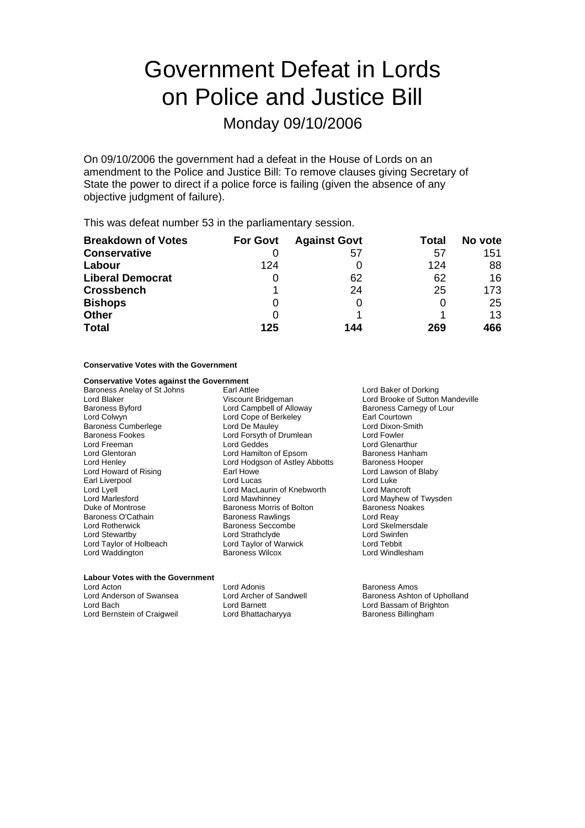# Government Defeat in Lords on Police and Justice Bill

# Monday 09/10/2006

On 09/10/2006 the government had a defeat in the House of Lords on an amendment to the Police and Justice Bill: To remove clauses giving Secretary of State the power to direct if a police force is failing (given the absence of any objective judgment of failure).

This was defeat number 53 in the parliamentary session.

| <b>Breakdown of Votes</b> | <b>For Govt</b> | <b>Against Govt</b> | Total | No vote |
|---------------------------|-----------------|---------------------|-------|---------|
| <b>Conservative</b>       |                 | 57                  | 57    | 151     |
| Labour                    | 124             |                     | 124   | 88      |
| <b>Liberal Democrat</b>   | 0               | 62                  | 62    | 16      |
| <b>Crossbench</b>         |                 | 24                  | 25    | 173     |
| <b>Bishops</b>            | O               |                     | O     | 25      |
| <b>Other</b>              | O               |                     |       | 13      |
| <b>Total</b>              | 125             | 144                 | 269   | 466     |

## **Conservative Votes with the Government**

## **Conservative Votes against the Government**

Baroness Anelay of St Johns Earl Attlee Lord Baker of Dorking Baroness Cumberlege Lord De Mauley Lord Rotherwick Baroness Seccombe Lord Waddington

Baroness Byford **Example Example Computer Carnets Carnegy of Lour**<br>
Lord Colwyn **Colloce** Cone of Berkeley **Barl Courtown**<br>
Earl Courtown Lord Cope of Berkeley **Farl Courtown**<br>
Lord De Mauley **Report Contains Container Container**<br>
Lord Dixon-Smith Baroness Fookes The Summer Correct Lord Forsyth of Drumlean The Lord Fowler<br>Cord Freeman Lord Geddes Lord Geddes Lord Glenar Lord Freeman Lord Geddes Lord Glenarthur Lord Hamilton of Epsom Baroness Hanham Lord Henley **Lord Hodgson of Astley Abbotts** Baroness Hooper<br>
Lord Howard of Rising **Carl Howe** Earl Howe **South Lord Lawson of Blaby** Lord Howard of Rising **Farl Howe Communist Communist Communist Communist Communist Communist Communist Communist**<br>Farl Liverpool **Communist Communist Communist Communist Communist Communist Communist Communist Communist Co** Earl Liverpool **Earl Liverpool** Lord Lord Lucas Lord Lucas Lord Luke Lord Luke Lord Luke Lord Luke Lord Mancroft Lord Lyell<br>
Lord Marlesford **Control Lord Marcroft Lord Marlesford**<br>
Lord Mawhinney Lord Marlesford **Lord Mawhinney** Lord Mayhew of Twysden<br>
Duke of Montrose **Lord May Duke Communist Communist Communist Communist Communist Communist Communist Communist**<br>
Duke of Montrose **Communist Communist Communist Com** Duke of Montrose **Baroness Morris of Bolton** Baroness Norris of Bolton Baroness Norris of Bolton Baroness Norris of Bolton Baroness Norris of Bolton Baroness Norris of Bolton Baroness Navings **Baroness** Norris Cord Reav Baroness Rawlings<br>
Baroness Seccombe<br>
Lord Skelmersdale Lord Stewartby **Lord Strathclyde** Lord Strathclyde Lord Taylor of Holbeach Lord Taylor of Warwick Lord Tebbit Lord Taylor of Warwick and Lord Tebbit<br>
Baroness Wilcox **Research Baroness** Wilcox

Lord Blaker Viscount Bridgeman Lord Brooke of Sutton Mandeville<br>
Baroness Byford Campbell of Alloway Baroness Carnegy of Lour

## **Labour Votes with the Government**

Lord Acton **Communist Communist Lord Adonis**<br>
Lord Anderson of Swansea **Lord Archer of Sandwell** Baroness Ashton Lord Anderson of Swansea **Super Constructed Lord Archer of Sandwell** Baroness Ashton of Upholland Lord Baroness Ashton of Upholland Lord Baroness Ashton of Upholland Lord Bernstein of Craigweil **Lord Bhattacharyya** Baroness Billingham

Lord Bassam of Brighton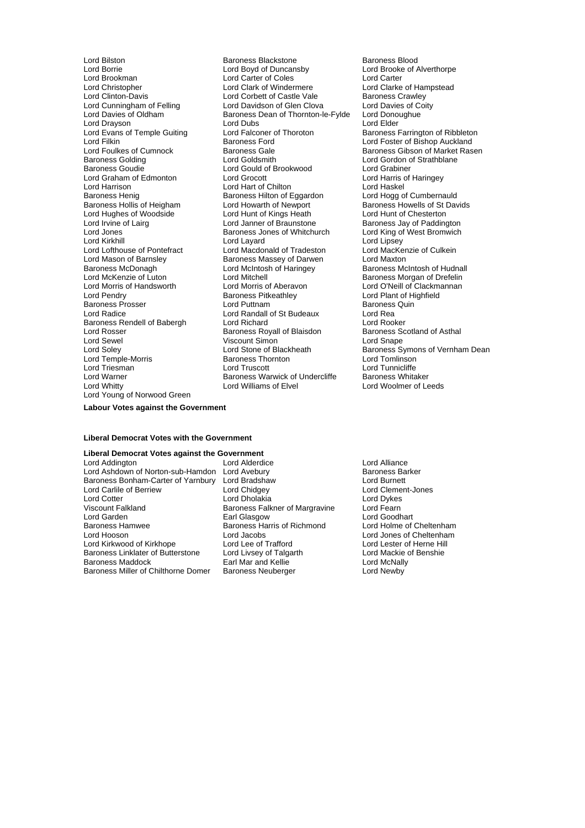Lord Drayson<br>
Lord Evans of Temple Guiting<br>
Lord Falconer of Thoroton Lord Graham of Edmonton Lord Hughes of Woodside Lord Hunt of Kings Heath<br>
Lord Irvine of Lairg<br>
Lord Janner of Braunstone Lord Jones Communist Baroness Jones of Whitchurch Lord Kirkhill<br>
Lord Kirkhill Cord Lavard Lord Mason of Barnsley<br>
Baroness McDonagh Maxton Lord McIntosh of Haringey Lord Sewel **Viscount Simon**<br>
Lord Soley **Lord Stone of Blackheath** Lord Temple-Morris **Baroness Thornton Lord Truscott**<br>
Lord Triesman<br>
Lord Truscott Lord Warner **Baroness Warwick of Undercliffe** Lord Young of Norwood Green

Lord Bilston **Baroness Blackstone** Baroness Blood Lord Baroness Blood Lord Baroness Blood Lord Brooke of *P*<br>
Lord Boyd of Duncansby Lord Brooke of *P* Lord Borrie Lord Boyd of Duncansby Lord Brooke of Alverthorpe Lord Carter of Coles<br>
Lord Clark of Windermere<br>
Lord Clarke of Hampstead Lord Christopher **Lord Clark of Windermere** Lord Clarke of Hampster Clark of Manuel Clark of Hampstead Clarke of Hampstead Lord Clarke of Hampstead Lord Clarke of Hampstead Lord Clarke of Clarke in Lord Clarke of Castle Va Lord Clinton-Davis **Lord Corbett of Castle Vale** Baroness Crawley<br>
Lord Cunningham of Felling **Baroness Lord Davidson of Glen Clova** Lord Davies of Coity Lord Cunningham of Felling Lord Davidson of Glen Clova Lord Davies of Coity<br>Lord Davies of Oldham Baroness Dean of Thornton-le-Fylde Lord Donoughue Baroness Dean of Thornton-le-Fylde Lord Dono<br>Lord Dubs Lord Elder Lord Evans of Temple Guiting Lord Falconer of Thoroton Baroness Farrington of Ribbleton<br>
Lord Filshop Auckland Baroness Ford Cord Lord Foster of Bishop Auckland Lord Filkin Lord Filkin Baroness Ford Lord Foster of Bishop Auckland<br>Lord Foulkes of Cumnock Baroness Gale Baroness Gibson of Market Ras Lord Foulkes of Cumnock **Baroness Gale Cumnock** Baroness Gibson of Market Rasen<br>Baroness Golding **Baroness Colding** Lord Goldsmith **Baroness Colding** Lord Gordon of Strathblane Baroness Golding The Lord Goldsmith Corp and Corp Lord Gordon of Strathblane<br>
Baroness Goudie Corp Lord Gould of Brookwood Lord Grabiner Lord Gould of Brookwood Lord Grabiner<br>
Lord Grocott Lord Harris of Haringey Lord Harrison Lord Hart of Chilton Lord Haskel Baroness Henig baroness Hilton of Eggardon Lord Hogg of Cumbernauld<br>Baroness Hollis of Heigham Lord Howarth of Newport Baroness Howells of St Davids Baroness Hollis of Heigham Lord Howarth of Newport Baroness Howells of St D<br>
Lord Huahes of Woodside Lord Hunt of Kings Heath Lord Hunt of Chesterton Lord Irvine of Lairg **Lord Lord Janner of Braunstone** Baroness Jay of Paddington<br>
Lord Jones **Baroness Jones of Whitchurch** Lord King of West Bromwich Lord Kirkhill **Lord Lord Layard** Lord Lord Lord Lord Lipsey<br>
Lord Lord Lord Machald of Tradeston Lord MacKenzie of Culkein Lord Lofthouse of Pontefract Lord Macdonald of Tradeston Lord MacKer<br>
Lord Mason of Barnsley Baroness Massey of Darwen Lord Maxton Baroness McDonagh **Artic Control Control Lord McIntosh of Haringey** Baroness McIntosh of Hudnall<br>
Lord McCKenzie of Luton Lord Mitchell **Baroness Morgan of Drefelin** Lord Mitchell<br>
Lord Morris of Aberavon<br>
Lord O'Neill of Clackmannan Lord Morris of Handsworth Lord Morris of Aberavon Lord O'Neill of Clackmannan **Baroness Pitkeathley Lord Plant of Highfield Lord Plant of Highfield Lord Plant of Algebra** Baroness Prosser **State Cornelist Cornelist Cornelist Cornelist Cornelist Cornelist Cornelist Cornelist Cornelis**<br>Baroness Lord Randall of St Budeaux Lord Rea Lord Radice Lord Randall of St Budeaux Lord Rea<br>
Baroness Rendell of Babergh Lord Richard Lord Rooker Baroness Rendell of Babergh Lord Richard<br>
Lord Rosser Cord Rooker<br>
Lord Rosser Cordand of Asthal<br>
Lord Rosser Cordand of Asthal Baroness Royall of Blaisdon Baroness Scotland Baroness Scotland Chape<br>
Unit Asthaland Cord Shape<br>
Baroness Scotland Chape Lord Whitty Lord Williams of Elvel Lord Woolmer of Leeds

Lord Soley **Lord Stone of Blackheath** Baroness Symons of Vernham Dean<br>
Lord Temple-Morris **Baroness Thornton** Lord Tomlinson Lord Tunnicliffe<br>Baroness Whitaker

**Labour Votes against the Government**

#### **Liberal Democrat Votes with the Government**

# **Liberal Democrat Votes against the Government**<br>
Lord Addington **Lord Alderdice**

Lord Addington **Lord Addington** Lord Alderdice **Lord Addington** Lord Alliance<br>
Lord Ashdown of Norton-sub-Hamdon Lord Avebury **Conserver Conserver Adding Adding Act Act Act Act Act Act Act A** Lord Ashdown of Norton-sub-Hamdon Lord Avebury **Barker Barker Barker Barker Barker** Barconess Barker<br>Baroness Bonham-Carter of Yarnbury Lord Bradshaw **Barker Barker Barker Barker Barker** Lord Burnett Baroness Bonham-Carter of Yarnbury<br>Lord Carlile of Berriew Lord Carlile of Berriew **Lord Chidgey** Lord Clement-Jones<br>
Lord Cotter Lord Cotter Lord Dholakia<br>
Lord Cotter Lord Dykes Lord Cotter Lord Dolakia Lord Dolakia<br>19 Lord Dykes Lord Team Baroness Falkner of Margravine Lord Fearn Viscount Falkland **Baroness Falkner of Margravine** Lord Fearn<br>
Lord Garden **Baroness Falkner of Margravine** Lord Goodhart Lord Garden<br>Baroness Hamwee Baroness Harris of Richmond Baroness Hamwee Baroness Harris of Richmond<br>Lord Holme of Cheltenham<br>Lord Hooson Lord Hooson Lord Hooson Lord Hooson Lord Kirkwood of Kirkhope Lord Lee of Trafford Lord Lord Lester of Herne Hil<br>
Baroness Linklater of Butterstone Lord Livsey of Talgarth Lord Mackie of Benshie Baroness Linklater of Butterstone Baroness Maddock **Earl Mar and Kellie Earl Mar and Hellie** Lord McNally<br>Baroness Miller of Chilthorne Domer Baroness Neuberger **Earl Lord Newby** Baroness Miller of Chilthorne Domer

Lord Jacobs<br>
Lord Lee of Trafford<br>
Lord Lester of Herne Hill